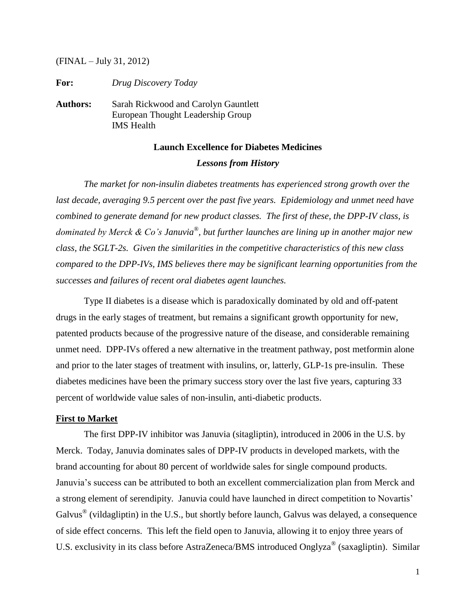(FINAL – July 31, 2012)

**For:** *Drug Discovery Today*

**Authors:** Sarah Rickwood and Carolyn Gauntlett European Thought Leadership Group IMS Health

# **Launch Excellence for Diabetes Medicines**

# *Lessons from History*

*The market for non-insulin diabetes treatments has experienced strong growth over the last decade, averaging 9.5 percent over the past five years. Epidemiology and unmet need have combined to generate demand for new product classes. The first of these, the DPP-IV class, is dominated by Merck & Co's Januvia*® *, but further launches are lining up in another major new class, the SGLT-2s. Given the similarities in the competitive characteristics of this new class compared to the DPP-IVs, IMS believes there may be significant learning opportunities from the successes and failures of recent oral diabetes agent launches.*

Type II diabetes is a disease which is paradoxically dominated by old and off-patent drugs in the early stages of treatment, but remains a significant growth opportunity for new, patented products because of the progressive nature of the disease, and considerable remaining unmet need. DPP-IVs offered a new alternative in the treatment pathway, post metformin alone and prior to the later stages of treatment with insulins, or, latterly, GLP-1s pre-insulin. These diabetes medicines have been the primary success story over the last five years, capturing 33 percent of worldwide value sales of non-insulin, anti-diabetic products.

## **First to Market**

The first DPP-IV inhibitor was Januvia (sitagliptin), introduced in 2006 in the U.S. by Merck. Today, Januvia dominates sales of DPP-IV products in developed markets, with the brand accounting for about 80 percent of worldwide sales for single compound products. Januvia's success can be attributed to both an excellent commercialization plan from Merck and a strong element of serendipity. Januvia could have launched in direct competition to Novartis' Galvus<sup>®</sup> (vildagliptin) in the U.S., but shortly before launch, Galvus was delayed, a consequence of side effect concerns. This left the field open to Januvia, allowing it to enjoy three years of U.S. exclusivity in its class before AstraZeneca/BMS introduced Onglyza<sup>®</sup> (saxagliptin). Similar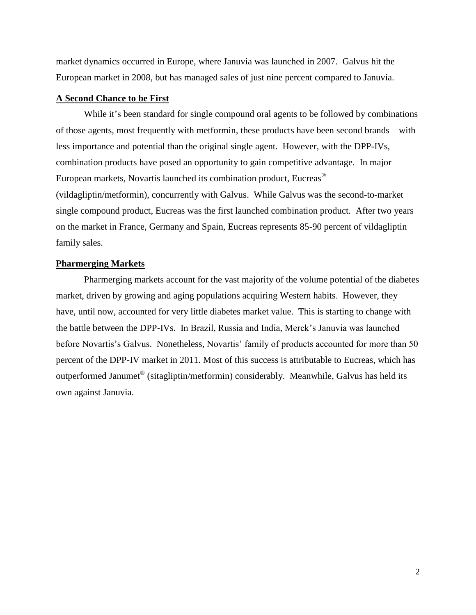market dynamics occurred in Europe, where Januvia was launched in 2007. Galvus hit the European market in 2008, but has managed sales of just nine percent compared to Januvia.

## **A Second Chance to be First**

While it's been standard for single compound oral agents to be followed by combinations of those agents, most frequently with metformin, these products have been second brands – with less importance and potential than the original single agent. However, with the DPP-IVs, combination products have posed an opportunity to gain competitive advantage. In major European markets, Novartis launched its combination product, Eucreas® (vildagliptin/metformin), concurrently with Galvus. While Galvus was the second-to-market single compound product, Eucreas was the first launched combination product. After two years on the market in France, Germany and Spain, Eucreas represents 85-90 percent of vildagliptin family sales.

#### **Pharmerging Markets**

Pharmerging markets account for the vast majority of the volume potential of the diabetes market, driven by growing and aging populations acquiring Western habits. However, they have, until now, accounted for very little diabetes market value. This is starting to change with the battle between the DPP-IVs. In Brazil, Russia and India, Merck's Januvia was launched before Novartis's Galvus. Nonetheless, Novartis' family of products accounted for more than 50 percent of the DPP-IV market in 2011. Most of this success is attributable to Eucreas, which has outperformed Janumet® (sitagliptin/metformin) considerably. Meanwhile, Galvus has held its own against Januvia.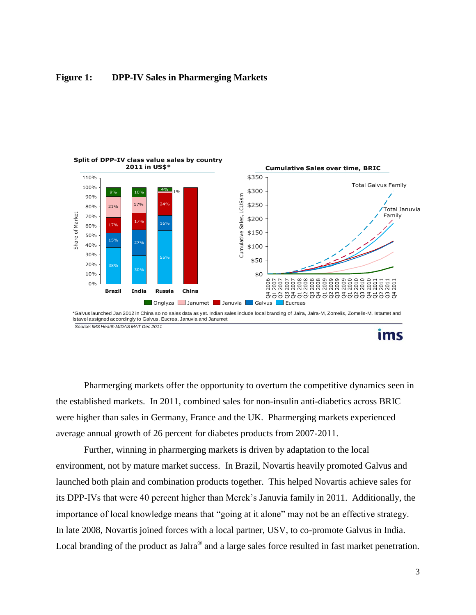

## **Figure 1: DPP-IV Sales in Pharmerging Markets**

**ims** 

Pharmerging markets offer the opportunity to overturn the competitive dynamics seen in the established markets. In 2011, combined sales for non-insulin anti-diabetics across BRIC were higher than sales in Germany, France and the UK. Pharmerging markets experienced average annual growth of 26 percent for diabetes products from 2007-2011.

Further, winning in pharmerging markets is driven by adaptation to the local environment, not by mature market success. In Brazil, Novartis heavily promoted Galvus and launched both plain and combination products together. This helped Novartis achieve sales for its DPP-IVs that were 40 percent higher than Merck's Januvia family in 2011. Additionally, the importance of local knowledge means that "going at it alone" may not be an effective strategy. In late 2008, Novartis joined forces with a local partner, USV, to co-promote Galvus in India. Local branding of the product as Jalra<sup>®</sup> and a large sales force resulted in fast market penetration.